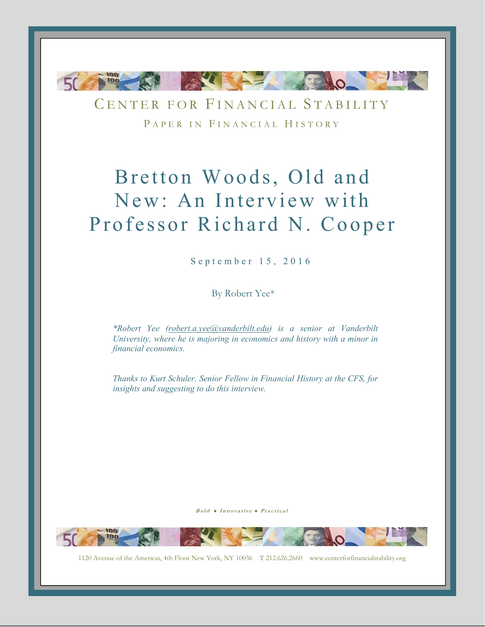

CENTER FOR FINANCIAL STABILITY PAPER IN FINANCIAL HISTORY

# Bretton Woods, Old and New: An Interview with Professor Richard N. Cooper

September 15, 2016

By Robert Yee\*

*\*Robert Yee (robert.a.yee@vanderbilt.edu) is a senior at Vanderbilt University, where he is majoring in economics and history with a minor in financial economics.* 

*Thanks to Kurt Schuler, Senior Fellow in Financial History at the CFS, for insights and suggesting to do this interview.* 

Bold . Innovative . Practical

-0-

1120 Avenue of the Americas, 4th Floor New York, NY 10036 T 212.626.2660 www.centerforfinancialstability.org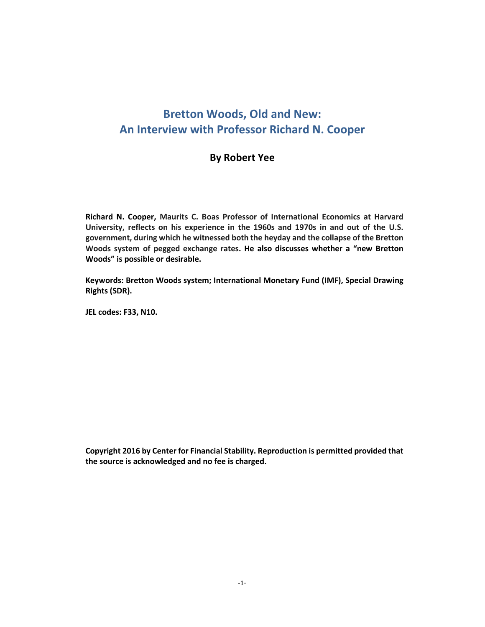# **Bretton Woods, Old and New: An Interview with Professor Richard N. Cooper**

# **By Robert Yee**

**Richard N. Cooper, Maurits C. Boas Professor of International Economics at Harvard University, reflects on his experience in the 1960s and 1970s in and out of the U.S. government, during which he witnessed both the heyday and the collapse of the Bretton Woods system of pegged exchange rates. He also discusses whether a "new Bretton Woods" is possible or desirable.** 

**Keywords: Bretton Woods system; International Monetary Fund (IMF), Special Drawing Rights (SDR).** 

**JEL codes: F33, N10.** 

**Copyright 2016 by Center for Financial Stability. Reproduction is permitted provided that the source is acknowledged and no fee is charged.**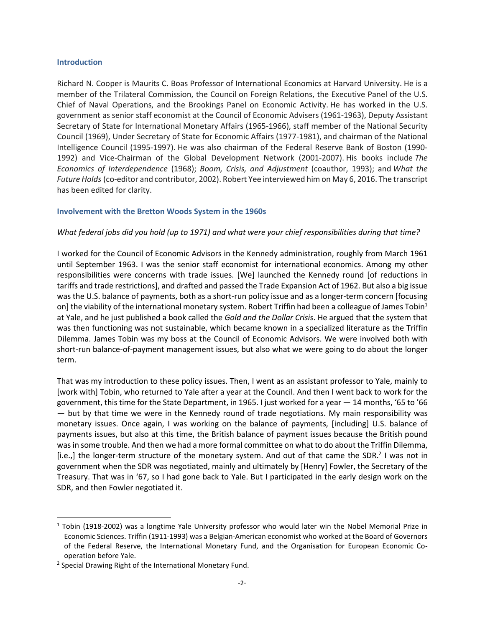#### **Introduction**

Richard N. Cooper is Maurits C. Boas Professor of International Economics at Harvard University. He is a member of the Trilateral Commission, the Council on Foreign Relations, the Executive Panel of the U.S. Chief of Naval Operations, and the Brookings Panel on Economic Activity. He has worked in the U.S. government as senior staff economist at the Council of Economic Advisers (1961-1963), Deputy Assistant Secretary of State for International Monetary Affairs (1965-1966), staff member of the National Security Council (1969), Under Secretary of State for Economic Affairs (1977-1981), and chairman of the National Intelligence Council (1995-1997). He was also chairman of the Federal Reserve Bank of Boston (1990- 1992) and Vice-Chairman of the Global Development Network (2001-2007). His books include *The Economics of Interdependence* (1968); *Boom, Crisis, and Adjustment* (coauthor, 1993); and *What the Future Holds* (co-editor and contributor, 2002). Robert Yee interviewed him on May 6, 2016. The transcript has been edited for clarity.

#### **Involvement with the Bretton Woods System in the 1960s**

#### *What federal jobs did you hold (up to 1971) and what were your chief responsibilities during that time?*

I worked for the Council of Economic Advisors in the Kennedy administration, roughly from March 1961 until September 1963. I was the senior staff economist for international economics. Among my other responsibilities were concerns with trade issues. [We] launched the Kennedy round [of reductions in tariffs and trade restrictions], and drafted and passed the Trade Expansion Act of 1962. But also a big issue was the U.S. balance of payments, both as a short-run policy issue and as a longer-term concern [focusing on] the viability of the international monetary system. Robert Triffin had been a colleague of James Tobin<sup>1</sup> at Yale, and he just published a book called the *Gold and the Dollar Crisis*. He argued that the system that was then functioning was not sustainable, which became known in a specialized literature as the Triffin Dilemma. James Tobin was my boss at the Council of Economic Advisors. We were involved both with short-run balance-of-payment management issues, but also what we were going to do about the longer term.

That was my introduction to these policy issues. Then, I went as an assistant professor to Yale, mainly to [work with] Tobin, who returned to Yale after a year at the Council. And then I went back to work for the government, this time for the State Department, in 1965. I just worked for a year — 14 months, '65 to '66 — but by that time we were in the Kennedy round of trade negotiations. My main responsibility was monetary issues. Once again, I was working on the balance of payments, [including] U.S. balance of payments issues, but also at this time, the British balance of payment issues because the British pound was in some trouble. And then we had a more formal committee on what to do about the Triffin Dilemma, [i.e.,] the longer-term structure of the monetary system. And out of that came the SDR.<sup>2</sup> I was not in government when the SDR was negotiated, mainly and ultimately by [Henry] Fowler, the Secretary of the Treasury. That was in '67, so I had gone back to Yale. But I participated in the early design work on the SDR, and then Fowler negotiated it.

 $\overline{a}$ 

<sup>&</sup>lt;sup>1</sup> Tobin (1918-2002) was a longtime Yale University professor who would later win the Nobel Memorial Prize in Economic Sciences. Triffin (1911-1993) was a Belgian-American economist who worked at the Board of Governors of the Federal Reserve, the International Monetary Fund, and the Organisation for European Economic Cooperation before Yale.

<sup>&</sup>lt;sup>2</sup> Special Drawing Right of the International Monetary Fund.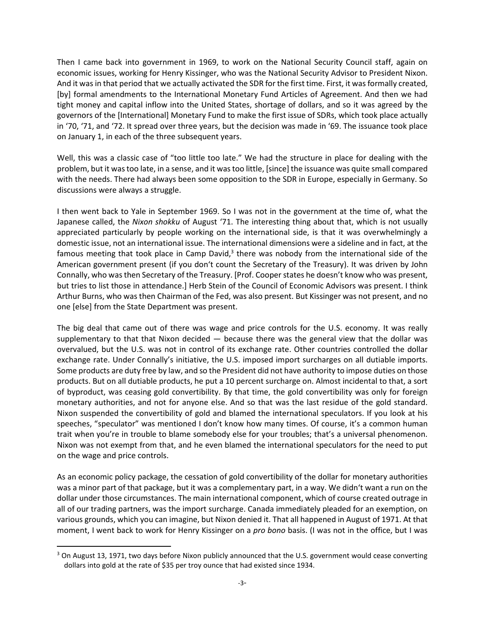Then I came back into government in 1969, to work on the National Security Council staff, again on economic issues, working for Henry Kissinger, who was the National Security Advisor to President Nixon. And it was in that period that we actually activated the SDR for the first time. First, it was formally created, [by] formal amendments to the International Monetary Fund Articles of Agreement. And then we had tight money and capital inflow into the United States, shortage of dollars, and so it was agreed by the governors of the [International] Monetary Fund to make the first issue of SDRs, which took place actually in '70, '71, and '72. It spread over three years, but the decision was made in '69. The issuance took place on January 1, in each of the three subsequent years.

Well, this was a classic case of "too little too late." We had the structure in place for dealing with the problem, but it was too late, in a sense, and it was too little, [since] the issuance was quite small compared with the needs. There had always been some opposition to the SDR in Europe, especially in Germany. So discussions were always a struggle.

I then went back to Yale in September 1969. So I was not in the government at the time of, what the Japanese called, the *Nixon shokku* of August '71. The interesting thing about that, which is not usually appreciated particularly by people working on the international side, is that it was overwhelmingly a domestic issue, not an international issue. The international dimensions were a sideline and in fact, at the famous meeting that took place in Camp David, $3$  there was nobody from the international side of the American government present (if you don't count the Secretary of the Treasury). It was driven by John Connally, who was then Secretary of the Treasury. [Prof. Cooper states he doesn't know who was present, but tries to list those in attendance.] Herb Stein of the Council of Economic Advisors was present. I think Arthur Burns, who was then Chairman of the Fed, was also present. But Kissinger was not present, and no one [else] from the State Department was present.

The big deal that came out of there was wage and price controls for the U.S. economy. It was really supplementary to that that Nixon decided — because there was the general view that the dollar was overvalued, but the U.S. was not in control of its exchange rate. Other countries controlled the dollar exchange rate. Under Connally's initiative, the U.S. imposed import surcharges on all dutiable imports. Some products are duty free by law, and so the President did not have authority to impose duties on those products. But on all dutiable products, he put a 10 percent surcharge on. Almost incidental to that, a sort of byproduct, was ceasing gold convertibility. By that time, the gold convertibility was only for foreign monetary authorities, and not for anyone else. And so that was the last residue of the gold standard. Nixon suspended the convertibility of gold and blamed the international speculators. If you look at his speeches, "speculator" was mentioned I don't know how many times. Of course, it's a common human trait when you're in trouble to blame somebody else for your troubles; that's a universal phenomenon. Nixon was not exempt from that, and he even blamed the international speculators for the need to put on the wage and price controls.

As an economic policy package, the cessation of gold convertibility of the dollar for monetary authorities was a minor part of that package, but it was a complementary part, in a way. We didn't want a run on the dollar under those circumstances. The main international component, which of course created outrage in all of our trading partners, was the import surcharge. Canada immediately pleaded for an exemption, on various grounds, which you can imagine, but Nixon denied it. That all happened in August of 1971. At that moment, I went back to work for Henry Kissinger on a *pro bono* basis. (I was not in the office, but I was

<u>.</u>

<sup>&</sup>lt;sup>3</sup> On August 13, 1971, two days before Nixon publicly announced that the U.S. government would cease converting dollars into gold at the rate of \$35 per troy ounce that had existed since 1934.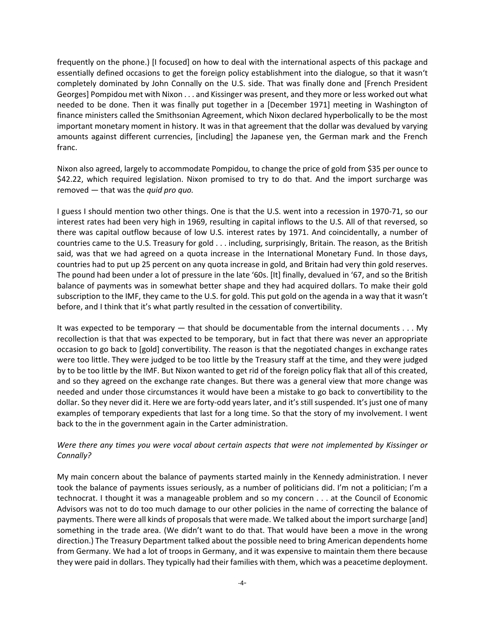frequently on the phone.) [I focused] on how to deal with the international aspects of this package and essentially defined occasions to get the foreign policy establishment into the dialogue, so that it wasn't completely dominated by John Connally on the U.S. side. That was finally done and [French President Georges] Pompidou met with Nixon . . . and Kissinger was present, and they more or less worked out what needed to be done. Then it was finally put together in a [December 1971] meeting in Washington of finance ministers called the Smithsonian Agreement, which Nixon declared hyperbolically to be the most important monetary moment in history. It was in that agreement that the dollar was devalued by varying amounts against different currencies, [including] the Japanese yen, the German mark and the French franc.

Nixon also agreed, largely to accommodate Pompidou, to change the price of gold from \$35 per ounce to \$42.22, which required legislation. Nixon promised to try to do that. And the import surcharge was removed — that was the *quid pro quo.*

I guess I should mention two other things. One is that the U.S. went into a recession in 1970-71, so our interest rates had been very high in 1969, resulting in capital inflows to the U.S. All of that reversed, so there was capital outflow because of low U.S. interest rates by 1971. And coincidentally, a number of countries came to the U.S. Treasury for gold . . . including, surprisingly, Britain. The reason, as the British said, was that we had agreed on a quota increase in the International Monetary Fund. In those days, countries had to put up 25 percent on any quota increase in gold, and Britain had very thin gold reserves. The pound had been under a lot of pressure in the late '60s. [It] finally, devalued in '67, and so the British balance of payments was in somewhat better shape and they had acquired dollars. To make their gold subscription to the IMF, they came to the U.S. for gold. This put gold on the agenda in a way that it wasn't before, and I think that it's what partly resulted in the cessation of convertibility.

It was expected to be temporary — that should be documentable from the internal documents . . . My recollection is that that was expected to be temporary, but in fact that there was never an appropriate occasion to go back to [gold] convertibility. The reason is that the negotiated changes in exchange rates were too little. They were judged to be too little by the Treasury staff at the time, and they were judged by to be too little by the IMF. But Nixon wanted to get rid of the foreign policy flak that all of this created, and so they agreed on the exchange rate changes. But there was a general view that more change was needed and under those circumstances it would have been a mistake to go back to convertibility to the dollar. So they never did it. Here we are forty-odd years later, and it's still suspended. It's just one of many examples of temporary expedients that last for a long time. So that the story of my involvement. I went back to the in the government again in the Carter administration.

# *Were there any times you were vocal about certain aspects that were not implemented by Kissinger or Connally?*

My main concern about the balance of payments started mainly in the Kennedy administration. I never took the balance of payments issues seriously, as a number of politicians did. I'm not a politician; I'm a technocrat. I thought it was a manageable problem and so my concern . . . at the Council of Economic Advisors was not to do too much damage to our other policies in the name of correcting the balance of payments. There were all kinds of proposals that were made. We talked about the import surcharge [and] something in the trade area. (We didn't want to do that. That would have been a move in the wrong direction.) The Treasury Department talked about the possible need to bring American dependents home from Germany. We had a lot of troops in Germany, and it was expensive to maintain them there because they were paid in dollars. They typically had their families with them, which was a peacetime deployment.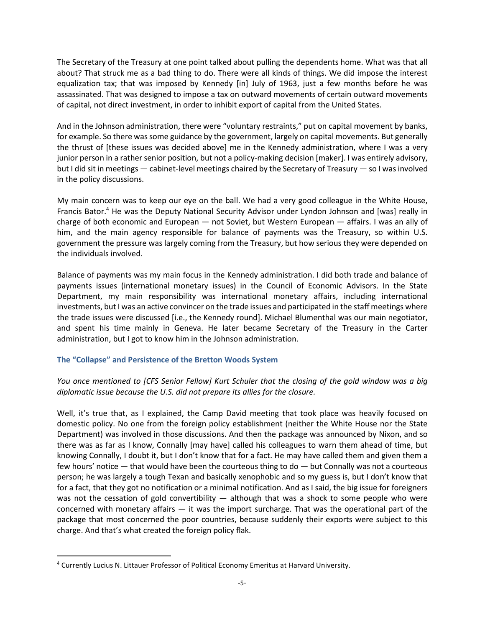The Secretary of the Treasury at one point talked about pulling the dependents home. What was that all about? That struck me as a bad thing to do. There were all kinds of things. We did impose the interest equalization tax; that was imposed by Kennedy [in] July of 1963, just a few months before he was assassinated. That was designed to impose a tax on outward movements of certain outward movements of capital, not direct investment, in order to inhibit export of capital from the United States.

And in the Johnson administration, there were "voluntary restraints," put on capital movement by banks, for example. So there was some guidance by the government, largely on capital movements. But generally the thrust of [these issues was decided above] me in the Kennedy administration, where I was a very junior person in a rather senior position, but not a policy-making decision [maker]. I was entirely advisory, but I did sit in meetings — cabinet-level meetings chaired by the Secretary of Treasury — so I was involved in the policy discussions.

My main concern was to keep our eye on the ball. We had a very good colleague in the White House, Francis Bator.<sup>4</sup> He was the Deputy National Security Advisor under Lyndon Johnson and [was] really in charge of both economic and European — not Soviet, but Western European — affairs. I was an ally of him, and the main agency responsible for balance of payments was the Treasury, so within U.S. government the pressure was largely coming from the Treasury, but how serious they were depended on the individuals involved.

Balance of payments was my main focus in the Kennedy administration. I did both trade and balance of payments issues (international monetary issues) in the Council of Economic Advisors. In the State Department, my main responsibility was international monetary affairs, including international investments, but I was an active convincer on the trade issues and participated in the staff meetings where the trade issues were discussed [i.e., the Kennedy round]. Michael Blumenthal was our main negotiator, and spent his time mainly in Geneva. He later became Secretary of the Treasury in the Carter administration, but I got to know him in the Johnson administration.

# **The "Collapse" and Persistence of the Bretton Woods System**

*You once mentioned to [CFS Senior Fellow] Kurt Schuler that the closing of the gold window was a big diplomatic issue because the U.S. did not prepare its allies for the closure.* 

Well, it's true that, as I explained, the Camp David meeting that took place was heavily focused on domestic policy. No one from the foreign policy establishment (neither the White House nor the State Department) was involved in those discussions. And then the package was announced by Nixon, and so there was as far as I know, Connally [may have] called his colleagues to warn them ahead of time, but knowing Connally, I doubt it, but I don't know that for a fact. He may have called them and given them a few hours' notice — that would have been the courteous thing to do — but Connally was not a courteous person; he was largely a tough Texan and basically xenophobic and so my guess is, but I don't know that for a fact, that they got no notification or a minimal notification. And as I said, the big issue for foreigners was not the cessation of gold convertibility  $-$  although that was a shock to some people who were concerned with monetary affairs — it was the import surcharge. That was the operational part of the package that most concerned the poor countries, because suddenly their exports were subject to this charge. And that's what created the foreign policy flak.

 $\overline{\phantom{0}}$ 

<sup>&</sup>lt;sup>4</sup> Currently Lucius N. Littauer Professor of Political Economy Emeritus at Harvard University.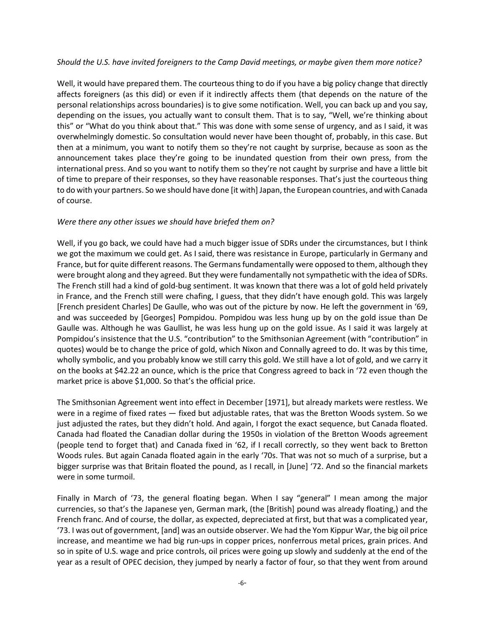#### *Should the U.S. have invited foreigners to the Camp David meetings, or maybe given them more notice?*

Well, it would have prepared them. The courteous thing to do if you have a big policy change that directly affects foreigners (as this did) or even if it indirectly affects them (that depends on the nature of the personal relationships across boundaries) is to give some notification. Well, you can back up and you say, depending on the issues, you actually want to consult them. That is to say, "Well, we're thinking about this" or "What do you think about that." This was done with some sense of urgency, and as I said, it was overwhelmingly domestic. So consultation would never have been thought of, probably, in this case. But then at a minimum, you want to notify them so they're not caught by surprise, because as soon as the announcement takes place they're going to be inundated question from their own press, from the international press. And so you want to notify them so they're not caught by surprise and have a little bit of time to prepare of their responses, so they have reasonable responses. That's just the courteous thing to do with your partners. So we should have done [it with] Japan, the European countries, and with Canada of course.

#### *Were there any other issues we should have briefed them on?*

Well, if you go back, we could have had a much bigger issue of SDRs under the circumstances, but I think we got the maximum we could get. As I said, there was resistance in Europe, particularly in Germany and France, but for quite different reasons. The Germans fundamentally were opposed to them, although they were brought along and they agreed. But they were fundamentally not sympathetic with the idea of SDRs. The French still had a kind of gold-bug sentiment. It was known that there was a lot of gold held privately in France, and the French still were chafing, I guess, that they didn't have enough gold. This was largely [French president Charles] De Gaulle, who was out of the picture by now. He left the government in '69, and was succeeded by [Georges] Pompidou. Pompidou was less hung up by on the gold issue than De Gaulle was. Although he was Gaullist, he was less hung up on the gold issue. As I said it was largely at Pompidou's insistence that the U.S. "contribution" to the Smithsonian Agreement (with "contribution" in quotes) would be to change the price of gold, which Nixon and Connally agreed to do. It was by this time, wholly symbolic, and you probably know we still carry this gold. We still have a lot of gold, and we carry it on the books at \$42.22 an ounce, which is the price that Congress agreed to back in '72 even though the market price is above \$1,000. So that's the official price.

The Smithsonian Agreement went into effect in December [1971], but already markets were restless. We were in a regime of fixed rates — fixed but adjustable rates, that was the Bretton Woods system. So we just adjusted the rates, but they didn't hold. And again, I forgot the exact sequence, but Canada floated. Canada had floated the Canadian dollar during the 1950s in violation of the Bretton Woods agreement (people tend to forget that) and Canada fixed in '62, if I recall correctly, so they went back to Bretton Woods rules. But again Canada floated again in the early '70s. That was not so much of a surprise, but a bigger surprise was that Britain floated the pound, as I recall, in [June] '72. And so the financial markets were in some turmoil.

Finally in March of '73, the general floating began. When I say "general" I mean among the major currencies, so that's the Japanese yen, German mark, (the [British] pound was already floating,) and the French franc. And of course, the dollar, as expected, depreciated at first, but that was a complicated year, '73. I was out of government, [and] was an outside observer. We had the Yom Kippur War, the big oil price increase, and meantime we had big run-ups in copper prices, nonferrous metal prices, grain prices. And so in spite of U.S. wage and price controls, oil prices were going up slowly and suddenly at the end of the year as a result of OPEC decision, they jumped by nearly a factor of four, so that they went from around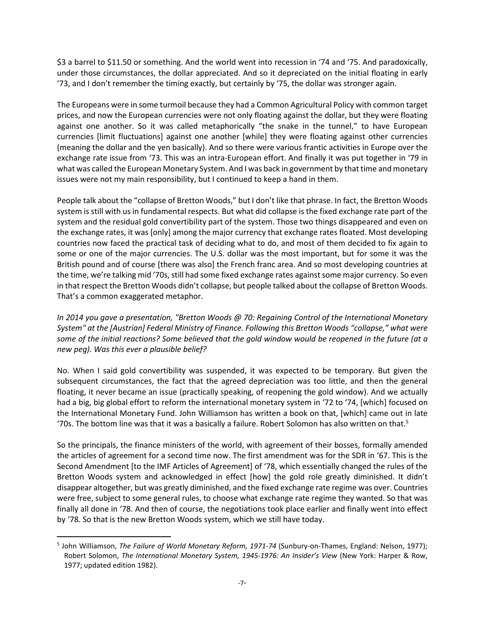\$3 a barrel to \$11.50 or something. And the world went into recession in '74 and '75. And paradoxically, under those circumstances, the dollar appreciated. And so it depreciated on the initial floating in early '73, and I don't remember the timing exactly, but certainly by '75, the dollar was stronger again.

The Europeans were in some turmoil because they had a Common Agricultural Policy with common target prices, and now the European currencies were not only floating against the dollar, but they were floating against one another. So it was called metaphorically "the snake in the tunnel," to have European currencies [limit fluctuations] against one another [while] they were floating against other currencies (meaning the dollar and the yen basically). And so there were various frantic activities in Europe over the exchange rate issue from '73. This was an intra-European effort. And finally it was put together in '79 in what was called the European Monetary System. And I was back in government by that time and monetary issues were not my main responsibility, but I continued to keep a hand in them.

People talk about the "collapse of Bretton Woods," but I don't like that phrase. In fact, the Bretton Woods system is still with us in fundamental respects. But what did collapse is the fixed exchange rate part of the system and the residual gold convertibility part of the system. Those two things disappeared and even on the exchange rates, it was [only] among the major currency that exchange rates floated. Most developing countries now faced the practical task of deciding what to do, and most of them decided to fix again to some or one of the major currencies. The U.S. dollar was the most important, but for some it was the British pound and of course [there was also] the French franc area. And so most developing countries at the time, we're talking mid '70s, still had some fixed exchange rates against some major currency. So even in that respect the Bretton Woods didn't collapse, but people talked about the collapse of Bretton Woods. That's a common exaggerated metaphor.

*In 2014 you gave a presentation, "Bretton Woods @ 70: Regaining Control of the International Monetary System" at the [Austrian] Federal Ministry of Finance. Following this Bretton Woods "collapse," what were some of the initial reactions? Some believed that the gold window would be reopened in the future (at a new peg). Was this ever a plausible belief?* 

No. When I said gold convertibility was suspended, it was expected to be temporary. But given the subsequent circumstances, the fact that the agreed depreciation was too little, and then the general floating, it never became an issue (practically speaking, of reopening the gold window). And we actually had a big, big global effort to reform the international monetary system in '72 to '74, [which] focused on the International Monetary Fund. John Williamson has written a book on that, [which] came out in late '70s. The bottom line was that it was a basically a failure. Robert Solomon has also written on that.<sup>5</sup>

So the principals, the finance ministers of the world, with agreement of their bosses, formally amended the articles of agreement for a second time now. The first amendment was for the SDR in '67. This is the Second Amendment [to the IMF Articles of Agreement] of '78, which essentially changed the rules of the Bretton Woods system and acknowledged in effect [how] the gold role greatly diminished. It didn't disappear altogether, but was greatly diminished, and the fixed exchange rate regime was over. Countries were free, subject to some general rules, to choose what exchange rate regime they wanted. So that was finally all done in '78. And then of course, the negotiations took place earlier and finally went into effect by '78. So that is the new Bretton Woods system, which we still have today.

 $\overline{\phantom{0}}$ 

<sup>5</sup> John Williamson, *The Failure of World Monetary Reform, 1971-74* (Sunbury-on-Thames, England: Nelson, 1977); Robert Solomon, *The International Monetary System, 1945-1976: An Insider's View* (New York: Harper & Row, 1977; updated edition 1982).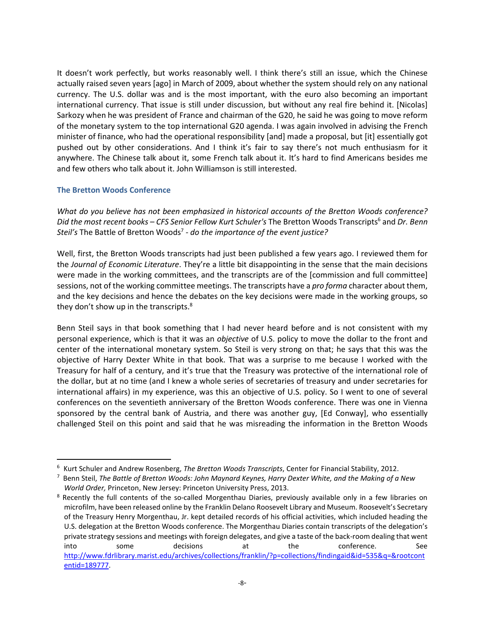It doesn't work perfectly, but works reasonably well. I think there's still an issue, which the Chinese actually raised seven years [ago] in March of 2009, about whether the system should rely on any national currency. The U.S. dollar was and is the most important, with the euro also becoming an important international currency. That issue is still under discussion, but without any real fire behind it. [Nicolas] Sarkozy when he was president of France and chairman of the G20, he said he was going to move reform of the monetary system to the top international G20 agenda. I was again involved in advising the French minister of finance, who had the operational responsibility [and] made a proposal, but [it] essentially got pushed out by other considerations. And I think it's fair to say there's not much enthusiasm for it anywhere. The Chinese talk about it, some French talk about it. It's hard to find Americans besides me and few others who talk about it. John Williamson is still interested.

#### **The Bretton Woods Conference**

<u>.</u>

*What do you believe has not been emphasized in historical accounts of the Bretton Woods conference?*  Did the most recent books – CFS Senior Fellow Kurt Schuler's The Bretton Woods Transcripts<sup>6</sup> and Dr. Benn Steil's The Battle of Bretton Woods<sup>7</sup> - do the importance of the event justice?

Well, first, the Bretton Woods transcripts had just been published a few years ago. I reviewed them for the *Journal of Economic Literature*. They're a little bit disappointing in the sense that the main decisions were made in the working committees, and the transcripts are of the [commission and full committee] sessions, not of the working committee meetings. The transcripts have a *pro forma* character about them, and the key decisions and hence the debates on the key decisions were made in the working groups, so they don't show up in the transcripts. $8<sup>8</sup>$ 

Benn Steil says in that book something that I had never heard before and is not consistent with my personal experience, which is that it was an *objective* of U.S. policy to move the dollar to the front and center of the international monetary system. So Steil is very strong on that; he says that this was the objective of Harry Dexter White in that book. That was a surprise to me because I worked with the Treasury for half of a century, and it's true that the Treasury was protective of the international role of the dollar, but at no time (and I knew a whole series of secretaries of treasury and under secretaries for international affairs) in my experience, was this an objective of U.S. policy. So I went to one of several conferences on the seventieth anniversary of the Bretton Woods conference. There was one in Vienna sponsored by the central bank of Austria, and there was another guy, [Ed Conway], who essentially challenged Steil on this point and said that he was misreading the information in the Bretton Woods

<sup>6</sup> Kurt Schuler and Andrew Rosenberg, *The Bretton Woods Transcripts*, Center for Financial Stability, 2012.

<sup>7</sup> Benn Steil, *The Battle of Bretton Woods: John Maynard Keynes, Harry Dexter White, and the Making of a New World Order,* Princeton, New Jersey: Princeton University Press, 2013.

<sup>&</sup>lt;sup>8</sup> Recently the full contents of the so-called Morgenthau Diaries, previously available only in a few libraries on microfilm, have been released online by the Franklin Delano Roosevelt Library and Museum. Roosevelt's Secretary of the Treasury Henry Morgenthau, Jr. kept detailed records of his official activities, which included heading the U.S. delegation at the Bretton Woods conference. The Morgenthau Diaries contain transcripts of the delegation's private strategy sessions and meetings with foreign delegates, and give a taste of the back-room dealing that went into some decisions at the conference. See http://www.fdrlibrary.marist.edu/archives/collections/franklin/?p=collections/findingaid&id=535&q=&rootcont entid=189777.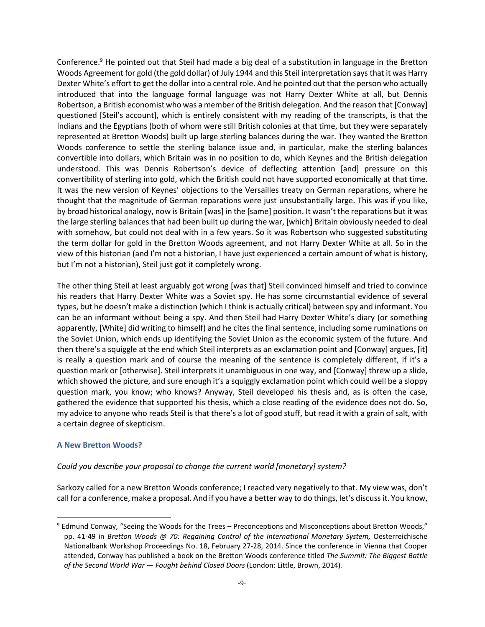Conference.<sup>9</sup> He pointed out that Steil had made a big deal of a substitution in language in the Bretton Woods Agreement for gold (the gold dollar) of July 1944 and this Steil interpretation says that it was Harry Dexter White's effort to get the dollar into a central role. And he pointed out that the person who actually introduced that into the language formal language was not Harry Dexter White at all, but Dennis Robertson, a British economist who was a member of the British delegation. And the reason that [Conway] questioned [Steil's account], which is entirely consistent with my reading of the transcripts, is that the Indians and the Egyptians (both of whom were still British colonies at that time, but they were separately represented at Bretton Woods) built up large sterling balances during the war. They wanted the Bretton Woods conference to settle the sterling balance issue and, in particular, make the sterling balances convertible into dollars, which Britain was in no position to do, which Keynes and the British delegation understood. This was Dennis Robertson's device of deflecting attention [and] pressure on this convertibility of sterling into gold, which the British could not have supported economically at that time. It was the new version of Keynes' objections to the Versailles treaty on German reparations, where he thought that the magnitude of German reparations were just unsubstantially large. This was if you like, by broad historical analogy, now is Britain [was] in the [same] position. It wasn't the reparations but it was the large sterling balances that had been built up during the war, [which] Britain obviously needed to deal with somehow, but could not deal with in a few years. So it was Robertson who suggested substituting the term dollar for gold in the Bretton Woods agreement, and not Harry Dexter White at all. So in the view of this historian (and I'm not a historian, I have just experienced a certain amount of what is history, but I'm not a historian), Steil just got it completely wrong.

The other thing Steil at least arguably got wrong [was that] Steil convinced himself and tried to convince his readers that Harry Dexter White was a Soviet spy. He has some circumstantial evidence of several types, but he doesn't make a distinction (which I think is actually critical) between spy and informant. You can be an informant without being a spy. And then Steil had Harry Dexter White's diary (or something apparently, [White] did writing to himself) and he cites the final sentence, including some ruminations on the Soviet Union, which ends up identifying the Soviet Union as the economic system of the future. And then there's a squiggle at the end which Steil interprets as an exclamation point and [Conway] argues, [it] is really a question mark and of course the meaning of the sentence is completely different, if it's a question mark or [otherwise]. Steil interprets it unambiguous in one way, and [Conway] threw up a slide, which showed the picture, and sure enough it's a squiggly exclamation point which could well be a sloppy question mark, you know; who knows? Anyway, Steil developed his thesis and, as is often the case, gathered the evidence that supported his thesis, which a close reading of the evidence does not do. So, my advice to anyone who reads Steil is that there's a lot of good stuff, but read it with a grain of salt, with a certain degree of skepticism.

#### **A New Bretton Woods?**

 $\overline{a}$ 

#### *Could you describe your proposal to change the current world [monetary] system?*

Sarkozy called for a new Bretton Woods conference; I reacted very negatively to that. My view was, don't call for a conference, make a proposal. And if you have a better way to do things, let's discuss it. You know,

<sup>&</sup>lt;sup>9</sup> Edmund Conway, "Seeing the Woods for the Trees – Preconceptions and Misconceptions about Bretton Woods," pp. 41-49 in *Bretton Woods @ 70: Regaining Control of the International Monetary System,* Oesterreichische Nationalbank Workshop Proceedings No. 18, February 27-28, 2014. Since the conference in Vienna that Cooper attended, Conway has published a book on the Bretton Woods conference titled *The Summit: The Biggest Battle of the Second World War — Fought behind Closed Doors* (London: Little, Brown, 2014)*.*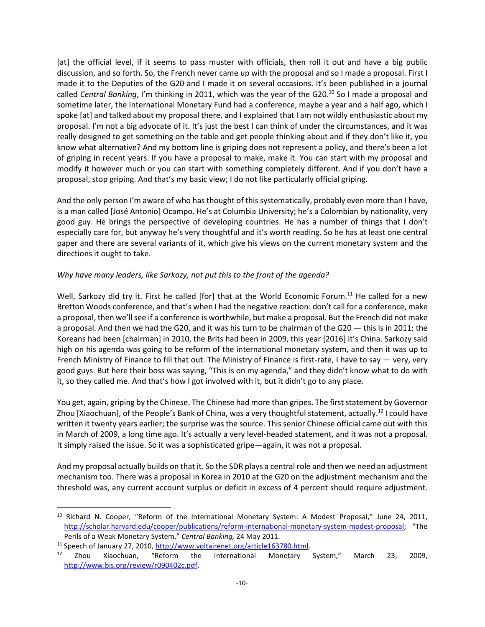[at] the official level, if it seems to pass muster with officials, then roll it out and have a big public discussion, and so forth. So, the French never came up with the proposal and so I made a proposal. First I made it to the Deputies of the G20 and I made it on several occasions. It's been published in a journal called *Central Banking*, I'm thinking in 2011, which was the year of the G20.<sup>10</sup> So I made a proposal and sometime later, the International Monetary Fund had a conference, maybe a year and a half ago, which I spoke [at] and talked about my proposal there, and I explained that I am not wildly enthusiastic about my proposal. I'm not a big advocate of it. It's just the best I can think of under the circumstances, and it was really designed to get something on the table and get people thinking about and if they don't like it, you know what alternative? And my bottom line is griping does not represent a policy, and there's been a lot of griping in recent years. If you have a proposal to make, make it. You can start with my proposal and modify it however much or you can start with something completely different. And if you don't have a proposal, stop griping. And that's my basic view; I do not like particularly official griping.

And the only person I'm aware of who has thought of this systematically, probably even more than I have, is a man called [José Antonio] Ocampo. He's at Columbia University; he's a Colombian by nationality, very good guy. He brings the perspective of developing countries. He has a number of things that I don't especially care for, but anyway he's very thoughtful and it's worth reading. So he has at least one central paper and there are several variants of it, which give his views on the current monetary system and the directions it ought to take.

#### *Why have many leaders, like Sarkozy, not put this to the front of the agenda?*

Well, Sarkozy did try it. First he called [for] that at the World Economic Forum.<sup>11</sup> He called for a new Bretton Woods conference, and that's when I had the negative reaction: don't call for a conference, make a proposal, then we'll see if a conference is worthwhile, but make a proposal. But the French did not make a proposal. And then we had the G20, and it was his turn to be chairman of the G20 — this is in 2011; the Koreans had been [chairman] in 2010, the Brits had been in 2009, this year [2016] it's China. Sarkozy said high on his agenda was going to be reform of the international monetary system, and then it was up to French Ministry of Finance to fill that out. The Ministry of Finance is first-rate, I have to say — very, very good guys. But here their boss was saying, "This is on my agenda," and they didn't know what to do with it, so they called me. And that's how I got involved with it, but it didn't go to any place.

You get, again, griping by the Chinese. The Chinese had more than gripes. The first statement by Governor Zhou [Xiaochuan], of the People's Bank of China, was a very thoughtful statement, actually.<sup>12</sup> I could have written it twenty years earlier; the surprise was the source. This senior Chinese official came out with this in March of 2009, a long time ago. It's actually a very level-headed statement, and it was not a proposal. It simply raised the issue. So it was a sophisticated gripe—again, it was not a proposal.

And my proposal actually builds on that it. So the SDR plays a central role and then we need an adjustment mechanism too. There was a proposal in Korea in 2010 at the G20 on the adjustment mechanism and the threshold was, any current account surplus or deficit in excess of 4 percent should require adjustment.

<sup>11</sup> Speech of January 27, 2010, http://www.voltairenet.org/article163780.html.

l

<sup>&</sup>lt;sup>10</sup> Richard N. Cooper, "Reform of the International Monetary System: A Modest Proposal," June 24, 2011, http://scholar.harvard.edu/cooper/publications/reform-international-monetary-system-modest-proposal; "The Perils of a Weak Monetary System," *Central Banking,* 24 May 2011.

<sup>&</sup>lt;sup>12</sup> Zhou Xiaochuan, "Reform the International Monetary System," March 23, 2009, http://www.bis.org/review/r090402c.pdf.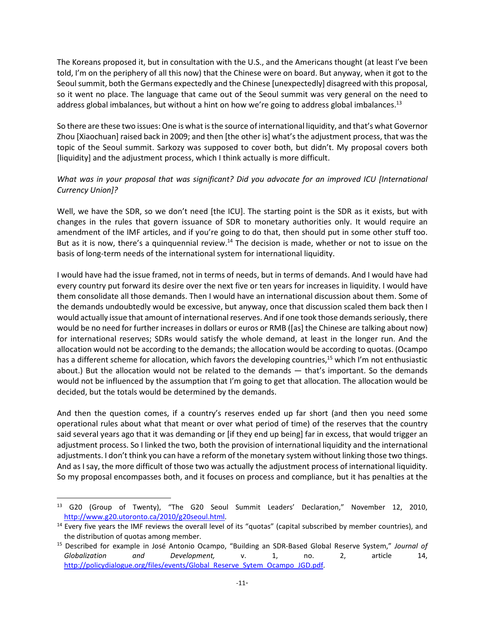The Koreans proposed it, but in consultation with the U.S., and the Americans thought (at least I've been told, I'm on the periphery of all this now) that the Chinese were on board. But anyway, when it got to the Seoul summit, both the Germans expectedly and the Chinese [unexpectedly] disagreed with this proposal, so it went no place. The language that came out of the Seoul summit was very general on the need to address global imbalances, but without a hint on how we're going to address global imbalances.<sup>13</sup>

So there are these two issues: One is what is the source of international liquidity, and that's what Governor Zhou [Xiaochuan] raised back in 2009; and then [the other is] what's the adjustment process, that was the topic of the Seoul summit. Sarkozy was supposed to cover both, but didn't. My proposal covers both [liquidity] and the adjustment process, which I think actually is more difficult.

# *What was in your proposal that was significant? Did you advocate for an improved ICU [International Currency Union]?*

Well, we have the SDR, so we don't need [the ICU]. The starting point is the SDR as it exists, but with changes in the rules that govern issuance of SDR to monetary authorities only. It would require an amendment of the IMF articles, and if you're going to do that, then should put in some other stuff too. But as it is now, there's a quinquennial review.<sup>14</sup> The decision is made, whether or not to issue on the basis of long-term needs of the international system for international liquidity.

I would have had the issue framed, not in terms of needs, but in terms of demands. And I would have had every country put forward its desire over the next five or ten years for increases in liquidity. I would have them consolidate all those demands. Then I would have an international discussion about them. Some of the demands undoubtedly would be excessive, but anyway, once that discussion scaled them back then I would actually issue that amount of international reserves. And if one took those demands seriously, there would be no need for further increases in dollars or euros or RMB ([as] the Chinese are talking about now) for international reserves; SDRs would satisfy the whole demand, at least in the longer run. And the allocation would not be according to the demands; the allocation would be according to quotas. (Ocampo has a different scheme for allocation, which favors the developing countries,<sup>15</sup> which I'm not enthusiastic about.) But the allocation would not be related to the demands — that's important. So the demands would not be influenced by the assumption that I'm going to get that allocation. The allocation would be decided, but the totals would be determined by the demands.

And then the question comes, if a country's reserves ended up far short (and then you need some operational rules about what that meant or over what period of time) of the reserves that the country said several years ago that it was demanding or [if they end up being] far in excess, that would trigger an adjustment process. So I linked the two, both the provision of international liquidity and the international adjustments. I don't think you can have a reform of the monetary system without linking those two things. And as I say, the more difficult of those two was actually the adjustment process of international liquidity. So my proposal encompasses both, and it focuses on process and compliance, but it has penalties at the

 $\overline{a}$ 

<sup>13</sup> G20 (Group of Twenty), "The G20 Seoul Summit Leaders' Declaration," November 12, 2010, http://www.g20.utoronto.ca/2010/g20seoul.html.

<sup>&</sup>lt;sup>14</sup> Every five years the IMF reviews the overall level of its "quotas" (capital subscribed by member countries), and the distribution of quotas among member.

<sup>15</sup> Described for example in José Antonio Ocampo, "Building an SDR-Based Global Reserve System," *Journal of Globalization and Development,* v. 1, no. 2, article 14, http://policydialogue.org/files/events/Global\_Reserve\_Sytem\_Ocampo\_JGD.pdf.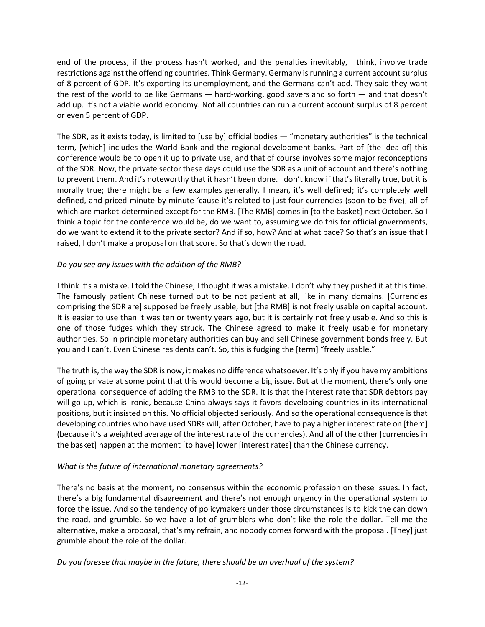end of the process, if the process hasn't worked, and the penalties inevitably, I think, involve trade restrictions against the offending countries. Think Germany. Germany is running a current account surplus of 8 percent of GDP. It's exporting its unemployment, and the Germans can't add. They said they want the rest of the world to be like Germans — hard-working, good savers and so forth — and that doesn't add up. It's not a viable world economy. Not all countries can run a current account surplus of 8 percent or even 5 percent of GDP.

The SDR, as it exists today, is limited to [use by] official bodies — "monetary authorities" is the technical term, [which] includes the World Bank and the regional development banks. Part of [the idea of] this conference would be to open it up to private use, and that of course involves some major reconceptions of the SDR. Now, the private sector these days could use the SDR as a unit of account and there's nothing to prevent them. And it's noteworthy that it hasn't been done. I don't know if that's literally true, but it is morally true; there might be a few examples generally. I mean, it's well defined; it's completely well defined, and priced minute by minute 'cause it's related to just four currencies (soon to be five), all of which are market-determined except for the RMB. [The RMB] comes in [to the basket] next October. So I think a topic for the conference would be, do we want to, assuming we do this for official governments, do we want to extend it to the private sector? And if so, how? And at what pace? So that's an issue that I raised, I don't make a proposal on that score. So that's down the road.

#### *Do you see any issues with the addition of the RMB?*

I think it's a mistake. I told the Chinese, I thought it was a mistake. I don't why they pushed it at this time. The famously patient Chinese turned out to be not patient at all, like in many domains. [Currencies comprising the SDR are] supposed be freely usable, but [the RMB] is not freely usable on capital account. It is easier to use than it was ten or twenty years ago, but it is certainly not freely usable. And so this is one of those fudges which they struck. The Chinese agreed to make it freely usable for monetary authorities. So in principle monetary authorities can buy and sell Chinese government bonds freely. But you and I can't. Even Chinese residents can't. So, this is fudging the [term] "freely usable."

The truth is, the way the SDR is now, it makes no difference whatsoever. It's only if you have my ambitions of going private at some point that this would become a big issue. But at the moment, there's only one operational consequence of adding the RMB to the SDR. It is that the interest rate that SDR debtors pay will go up, which is ironic, because China always says it favors developing countries in its international positions, but it insisted on this. No official objected seriously. And so the operational consequence is that developing countries who have used SDRs will, after October, have to pay a higher interest rate on [them] (because it's a weighted average of the interest rate of the currencies). And all of the other [currencies in the basket] happen at the moment [to have] lower [interest rates] than the Chinese currency.

# *What is the future of international monetary agreements?*

There's no basis at the moment, no consensus within the economic profession on these issues. In fact, there's a big fundamental disagreement and there's not enough urgency in the operational system to force the issue. And so the tendency of policymakers under those circumstances is to kick the can down the road, and grumble. So we have a lot of grumblers who don't like the role the dollar. Tell me the alternative, make a proposal, that's my refrain, and nobody comes forward with the proposal. [They] just grumble about the role of the dollar.

*Do you foresee that maybe in the future, there should be an overhaul of the system?*